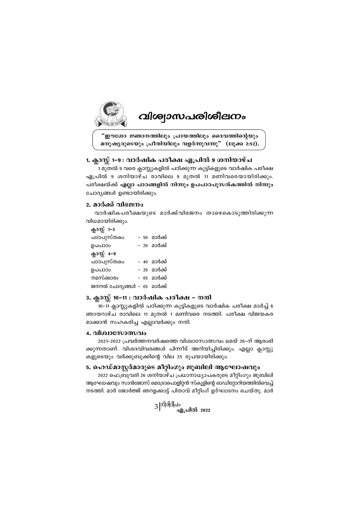

# **വിശ്വാസപരിശീലനം**

"ഈശോ ജ്ഞാനത്തിലും പ്രായത്തിലും ദൈവത്തിന്റെയും മനുഷ്യരുടെയും പ്രീതിയിലും വളർന്നുവന്നു" (ലുക്ക 2:52).

## 1. ക്ലാസ്സ് 1-9 : വാർഷിക പരീക്ഷ ഏപ്രിൽ 9 ശനിയാഴ്ച

1 മുതൽ 9 വരെ ക്ലാസ്സുകളിൽ പഠിക്കുന്ന കുട്ടികളുടെ വാർഷിക പരീക്ഷ ഏപ്രിൽ 9 ശനിയാഴ്ച രാവിലെ 9 മുതൽ 11 മണിവരെയായിരിക്കും. പരീക്ഷയ്ക്ക് എല്ലാ പാഠങ്ങളിൽ നിന്നും ഉപപാഠപുസത്കത്തിൽ നിന്നും ചോദ്യങ്ങൾ ഉണ്ടായിരിക്കും.

## 2. മാർക്ക് വിഭജനം

വാർഷികപരീക്ഷയുടെ മാർക്ക്വിഭജനം താഴെകൊടുത്തിരിക്കുന്ന വിധമായിരിക്കും.

ക്ലാസ്റ്റ് 1-3 – 50 മാർക്ക് പാഠപുസ്തകം ഉപപാഠം – 20 മാർക്ക് ക്ലാസ്സ് 4-9 പാഠപുസ്തകം – 40 മാർക്ക് – 20 മാർക്ക് ഉപപാഠം നമസ്ക്കാരം – 05 മാർക്ക് ജനറൽ ചോദ്യങ്ങൾ - 05 മാർക്ക്

## 3. ക്ലാസ്സ് 10-11 : വാർഷിക പരീക്ഷ - നന്ദി

10-11 ക്ലാസ്റ്റുകളിൽ പഠിക്കുന്ന കുട്ടികളുടെ വാർഷിക പരീക്ഷ മാർച്ച് 6 ഞായറാഴ്ച രാവിലെ 11 മുതൽ 1 മണിവരെ നടത്തി. പരീക്ഷ വിജയകര മാക്കാൻ സഹകരിച്ച എല്ലാവർക്കും നന്ദി.

## 4. വിശ്വാസോത്സവം

2021–2022 പ്രവർത്തനവർഷത്തെ വിശ്വാസോത്സവം മെയ് 26–ന് അരംഭി ക്കുന്നതാണ്. വിശദവിവരങ്ങൾ പിന്നീട് അറിയിച്ചിരിക്കും. എല്ലാ ക്ലാസ്സു കളുടെയും വർക്കുബുക്കിന്റെ വില 25 രൂപയായിരിക്കും.

## 5. ഹെഡ്മാസ്റ്റർമാരുടെ മീറ്റിംഗും ജൂബിലി ആഘോഷവും

2022 ഫെബ്രുവരി 26 ശനിയാഴ്ച പ്രധാനാധ്യാപകരുടെ മീറ്റിംഗും ജൂബിലി ആഘോഷവും സാൻജോസ് മെട്രോപൊളിറ്റൻ സ്കൂളിന്റെ ഓഡിറ്റോറിയത്തിൽവെച്ച് നടത്തി. മാർ ജോർജ്ജ് ഞറളക്കാട്ട് പിതാവ് മീറ്റിംഗ് ഉദ്ഘാടനം ചെയ്തു. മാർ

 $3\frac{|00|}{\sqrt{3}}$ ഏപ്രിൽ 2022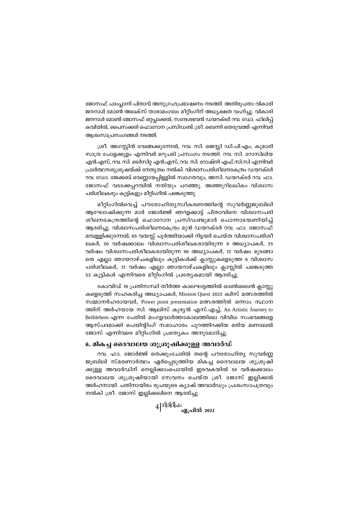ജോസഫ് പാംപ്ലാനി പിതാവ് അനുഗ്രഹപ്രഭാഷണം നടത്തി. അതിരുപതാ വികാരി ജനറാൾ മോൺ അലക്സ് താരാമംഗലം മീറ്റിംഗിന് അധൃക്ഷത വഹിച്ചു. വികാരി ജനറാൾ മോൺ ജോസഫ് ഒറ്റപ്ലാക്കൽ, സന്ദേശഭവൻ ഡയറക്ടർ റവ. ഡോ. ഫിലിപ്പ് കവിയിൽ, പൈസക്കരി ഫൊറോന പ്രസിഡണ്ട് ശ്രീ. ബെന്നി തെരുവത്ത് എന്നിവർ ആശംസാപ്രസംഗങ്ങൾ നടത്തി.

ശ്രീ. അഗസ്റ്റിൻ വേങ്ങക്കുന്നേൽ, റവ. സി. ജെസ്സി ഡി.പി.എം, കുമാരി സാന്ദ്ര പോളക്കുളം എന്നിവർ മറുപടി പ്രസംഗം നടത്തി. റവ. സി. റോസിലിയ എൻ.എസ്, റവ. സി. ടെർസിറ്റ എൻ.എസ്, റവ. സി. റോഷ്നി എഫ്.സി.സി എന്നിവർ പ്രാർത്ഥനശുശ്രുഷയ്ക്ക് നേതൃത്വം നൽകി. വിശ്വാസപരിശീലനകേന്ദ്രം ഡയറക്ടർ റവ. ഡോ. ജേക്കബ് വെണ്ണായപ്പിള്ളിൽ സ്വാഗതവും, അസി. ഡയറക്ടർ റവ. ഫാ. ജോസഫ് വടക്കേപ്പറമ്പിൽ നന്ദിയും പറഞ്ഞു. അഞ്ഞൂറിലധികം വിശ്വാസ പരിശീലകരും കുട്ടികളും മീറ്റിംഗിൽ പങ്കെടുത്തു.

മീറ്റിംഗിൽവെച്ച് പൗരോഹിത്യസ്വീകരണത്തിന്റെ സുവർണ്ണജുബിലി ആഘോഷിക്കുന്ന മാർ ജോർജ്ജ് ഞറളക്കാട്ട് പിതാവിനെ വിശ്വാസപരി ശീലനകേന്ദ്രത്തിന്റെ ഫൊറോന പ്രസിഡണ്ടുമാർ പൊന്നാടയണിയിച്ച് ആദരിച്ചു. വിശ്വാസപരിശീലനകേന്ദ്രം മൂൻ ഡയറക്ടർ റവ. ഫാ. ജോസഫ് മമ്പള്ളിക്കുന്നേൽ, 65 വയസ്സ് പൂർത്തിയാക്കി റിട്ടയർ ചെയ്ത വിശ്വാസപരിശീ ലകർ, 50 വർഷക്കാലം വിശ്വാസപരിശീലകരായിരുന്ന 9 അധ്യാപകർ, 25 വർഷം വിശ്വാസപരിശീലകരായിരുന്ന 90 അധ്യാപകർ, 12 വർഷം മുടങ്ങാ തെ എല്ലാ ഞായറാഴ്ചകളിലും കുട്ടികൾക്ക് ക്ലാസ്സുകളെടുത്ത 6 വിശ്വാസ പരിശീലകർ, 12 വർഷം എല്ലാ ഞായറാഴ്ചകളിലും ക്ലാസ്സിൽ പങ്കെടുത്ത 53 കുട്ടികൾ എന്നിവരെ മീറ്റിംഗിൽ പ്രത്യേകമായി ആദരിച്ചു.

കോവിഡ് 19 പ്രതിസന്ധി തീർത്ത കാലഘട്ടത്തിൽ ഓൺലൈൻ ക്ലാസ്സു കളെടുത്ത് സഹകരിച്ച അധ്യാപകർ, Mission Quest 2022 ക്വിസ് മത്സരത്തിൽ സമ്മാനർഹരായവർ, Power point presentation മത്സരത്തിൽ ഒന്നാം സ്ഥാന ത്തിന് അർഹയായ സി. ആലിസ് കുര്യൻ എസ്.എച്ച്, An Artistic Journey to Bethlehem എന്ന പേരിൽ മംഗളവാർത്താകാലത്തിലെ വിവിധ സംഭവങ്ങളെ ആസ്പദമാക്കി പെയിന്റിംഗ് സമാഹാരം പുറത്തിറക്കിയ മരിയ മണലേൽ ജോസ് എന്നിവരെ മീറ്റിംഗിൽ പ്രത്യേകം അനുമോദിച്ചു.

#### 6. മികച്ച ദൈവാലയ ശുശ്രൂഷിക്കുള്ള അവാർഡ്

റവ. ഫാ. ജോർജ്ജ് തെക്കുംചേരിൽ തന്റെ പൗരോഹിത്യ സുവർണ്ണ ജൂബിലി സ്മരണാർത്ഥം ഏർപ്പെടുത്തിയ മികച്ച ദൈവാലയ ശുശ്രൂഷി ക്കുള്ള അവാർഡിന് നെല്ലിക്കാംപൊയിൽ ഇടവകയിൽ 50 വർഷക്കാലം ദൈവാലയ ശുശ്രൂഷിയായി സേവനം ചെയ്ത ശ്രീ. ജോസ് ഇല്ലിക്കൽ അർഹനായി. പതിനായിരം രൂപയുടെ ക്യാഷ് അവാർഡും പ്രശംസാപത്രവും നൽകി ശ്രീ. ജോസ് ഇല്ലിക്കലിനെ ആദരിച്ചു.

 $4|$ ഗിരിദീപം $_{\rm \alpha\beta}$ പ്രിൽ 2022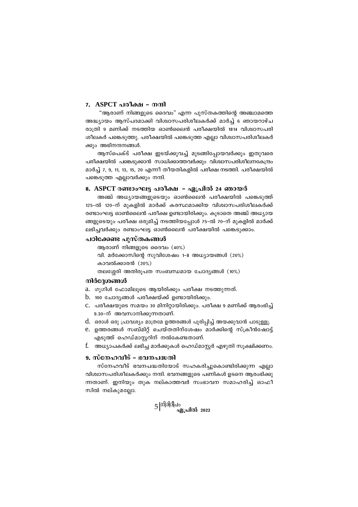#### 7. ASPCT പരീക്ഷ – നന്ദി

"ആരാണ് നിങ്ങളുടെ ദൈവം" എന്ന പുസ്തകത്തിന്റെ അഞ്ചാമത്തെ അദ്ധ്യായം ആസ്പദമാക്കി വിശ്വാസപരിശീലകർക്ക് മാർച്ച് 6 ഞായറാഴ്ച രാത്രി 9 മണിക്ക് നടത്തിയ ഓൺലൈൻ പരീക്ഷയിൽ 1814 വിശ്വാസപരി ശീലകർ പങ്കെടുത്തു. പരീക്ഷയിൽ പങ്കെടുത്ത എല്ലാ വിശ്വാസപരിശീലകർ ക്കും അഭിനന്ദനങ്ങൾ.

ആസ്പെക്ട് പരീക്ഷ ഇടയ്ക്കുവച്ച് മുടങ്ങിപ്പോയവർക്കും ഇതുവരെ പരീക്ഷയിൽ പങ്കെടുക്കാൻ സാധിക്കാത്തവർക്കും വിശ്വാസപരിശീലനകേന്ദ്രം മാർച്ച് 7, 9, 11, 13, 15, 20 എന്നീ തീയതികളിൽ പരീക്ഷ നടത്തി. പരീക്ഷയിൽ പങ്കെടുത്ത എല്ലാവർക്കും നന്ദി.

#### 8. ASPCT രണ്ടാംഘട്ട പരീക്ഷ – ഏപ്രിൽ 24 ഞായർ

അഞ്ച് അധ്യായങ്ങളുടെയും ഓൺലൈൻ പരീക്ഷയിൽ പങ്കെടുത്ത് 125-ൽ 120-ന് മുകളിൽ മാർക്ക് കരസ്ഥമാക്കിയ വിശ്വാസപരിശീലകർക്ക് രണ്ടാംഘട്ട ഓൺലൈൻ പരീക്ഷ ഉണ്ടായിരിക്കും. കൂടാതെ അഞ്ച് അധ്യായ ങ്ങളുടെയും പരീക്ഷ ഒരുമിച്ച് നടത്തിയപ്പോൾ 75–ൽ 70–ന് മുകളിൽ മാർക്ക് ലഭിച്ചവർക്കും രണ്ടാംഘട്ട ഓൺലൈൻ പരീക്ഷയിൽ പങ്കെടുക്കാം.

#### പഠിക്കേണ്ട പുസ്തകങ്ങൾ

ആരാണ് നിങ്ങളുടെ ദൈവം  $(40\%)$ വി. മർക്കോസിന്റെ സുവിശേഷം 1-8 അധ്യായങ്ങൾ (20%) കാവൽക്കാരൻ  $(20\%)$ തലശ്ശേരി അതിരൂപത സംബന്ധമായ ചോദ്യങ്ങൾ (10%)

#### നിർദ്ദേശങ്ങൾ

a. ഗൂഗിൾ ഫോമിലൂടെ ആയിരിക്കും പരീക്ഷ നടത്തുന്നത്.

- $b.$  100 ചോദ്യങ്ങൾ പരീക്ഷയ്ക്ക് ഉണ്ടായിരിക്കും.
- C. പരീക്ഷയുടെ സമയം 30 മിനിറ്റായിരിക്കും. പരീക്ഷ 9 മണിക്ക് ആരംഭിച്ച് 9.30-ന് അവസാനിക്കുന്നതാണ്.
- d. ഒരാൾ ഒരു പ്രാവശ്യം മാത്രമേ ഉത്തരങ്ങൾ പൂരിപ്പിച്ച് അയക്കുവാൻ പാടുള്ളൂ.
- e. ഉത്തരങ്ങൾ സബ്മിറ്റ് ചെയ്തതിന്ശേഷം മാർക്കിന്റെ സ്ക്രീൻഷോട്ട് എടുത്ത് ഹെഡ്മാസ്ലറിന് നൽകേണ്ടതാണ്.
- f. അധ്യാപകർക്ക് ലഭിച്ച മാർക്കുകൾ ഹെഡ്മാസ്റ്റർ എഴുതി സുക്ഷിക്കണം.

## 9. സ്നേഹവീട് - ഭവനപദ്ധതി

സ്നേഹവീട് ഭവനപദ്ധതിയോട് സഹകരിച്ചുകൊണ്ടിരിക്കുന്ന എല്ലാ വിശ്വാസപരിശീലകർക്കും നന്ദി. ഭവനങ്ങളുടെ പണികൾ ഉടനെ ആരംഭിക്കു ന്നതാണ്. ഇനിയും തുക നല്കാത്തവർ സംഭാവന സമാഹരിച്ച് ഓഫീ സിൽ നല്കുമല്ലോ.

$$
5\,\vert\stackrel{\scriptstyle\rm (1)}{\scriptstyle\rm (0)}\stackrel{\scriptstyle\rm (3)}{\scriptstyle\rm (3)}\,
$$
 ഏ. പിൽ 2022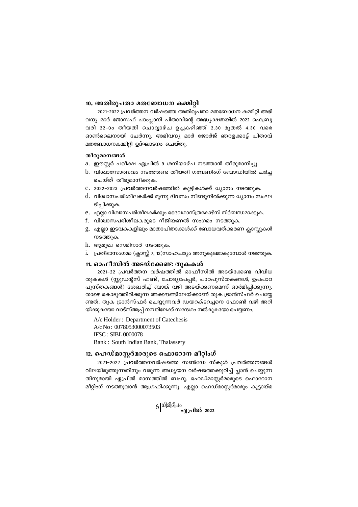#### 10. അതിരൂപതാ മതബോധന കമ്മിറ്റി

2021-2022 പ്രവർത്തന വർഷത്തെ അതിരുപതാ മതബോധന കമ്മിറ്റി അഭി വന്ദ്യ മാർ ജോസഫ് പാംപ്ലാനി പിതാവിന്റെ അദ്ധ്യക്ഷതയിൽ 2022 ഫെബ്രു വരി 22-ാം തീയതി ചൊവ്വാഴ്ച ഉച്ചകഴിഞ്ഞ് 2.30 മുതൽ 4.30 വരെ ഓൺലൈനായി ചേർന്നു. അഭിവന്ദ്യ മാർ ജോർജ് ഞറളക്കാട്ട് പിതാവ് മതബോധനകമ്മിറ്റി ഉദ്ഘാടനം ചെയ്തു.

#### തീരുമാനങ്ങൾ

- a. ഈസ്റ്റർ പരീക്ഷ ഏപ്രിൽ 9 ശനിയാഴ്ച നടത്താൻ തീരുമാനിച്ചു.
- b. വിശ്വാസോത്സവം നടത്തേണ്ട തീയതി ഗവേണിംഗ് ബോഡിയിൽ ചർച്ച ചെയ്ത് തീരുമാനിക്കുക.
- c. 2022-2023 പ്രവർത്തനവർഷത്തിൽ കുട്ടികൾക്ക് ധ്യാനം നടത്തുക.
- d. വിശ്വാസപരിശീലകർക്ക് മുന്നു ദിവസം നീണ്ടുനിൽക്കുന്ന ധ്യാനം സംഘ ടിപ്പിക്കുക.
- e. എല്ലാ വിശ്വാസപരിശീലകർക്കും ദൈവശാസ്ത്രകോഴ്സ് നിർബന്ധമാക്കുക.
- f. വിശ്വാസപരിശീലകരുടെ റീജിയണൽ സംഗമം നടത്തുക.
- g. എല്ലാ ഇടവകകളിലും മാതാപിതാക്കൾക്ക് ബോധവത്ക്കരണ ക്ലാസ്റ്റുകൾ നടത്തുക.
- h. ആമുഖ സെമിനാർ നടത്തുക.
- i. പ്രതിഭാസംഗമം (ക്ലാസ്സ് 7, 12)സാഹചര്യം അനുകൂലമാകുമ്പോൾ നടത്തുക.

## 11. ഓഫീസിൽ അടയ്ക്കേണ്ട തുകകൾ

2021-22 പ്രവർത്തന വർഷത്തിൽ ഓഫീസിൽ അടയ്ക്കേണ്ട വിവിധ തുകകൾ (സ്റ്റുഡന്റസ് ഫണ്ട്, ചോദ്യപേപ്പർ, പാഠപുസ്തകങ്ങൾ, ഉപപാഠ പുസ്തകങ്ങൾ) ശേഖരിച്ച് ബാങ്ക് വഴി അടയ്ക്കണമെന്ന് ഓർമിപ്പിക്കുന്നു. താഴെ കൊടുത്തിരിക്കുന്ന അക്കൗണ്ടിലേയ്ക്കാണ് തുക ട്രാൻസ്ഫർ ചെയ്യേ ണ്ടത്. തുക ട്രാൻസ്ഫർ ചെയ്യുന്നവർ ഡയറക്ടറച്ചനെ ഫോൺ വഴി അറി യിക്കുകയോ വാട്സ്ആപ്പ് നമ്പറിലേക്ക് സന്ദേശം നൽകുകയോ ചെയ്യണം.

A/c Holder: Department of Catechesis A/c No: 0078053000073503 **IFSC: SIBL0000078** Bank: South Indian Bank, Thalassery

## 12. ഹെഡ്മാസ്ലർമാരുടെ ഫൊറോന മീറ്റിംഗ്

2021-2022 പ്രവർത്തനവർഷത്തെ സൺഡേ സ്കൂൾ പ്രവർത്തനങ്ങൾ വിലയിരുത്തുന്നതിനും വരുന്ന അധ്യയന വർഷത്തെക്കുറിച്ച് പ്ലാൻ ചെയ്യുന്ന തിനുമായി ഏപ്രിൽ മാസത്തിൽ ബഹു. ഹെഡ്മാസ്റ്റർമാരുടെ ഫൊറോന മീറ്റിംഗ് നടത്തുവാൻ ആഗ്രഹിക്കുന്നു. എല്ലാ ഹെഡ്മാസ്ലർമാരും കൂട്ടായ്മ

 $6|$ ഗിരിദീപം $_{\alpha\beta}$ പ്രിൽ 2022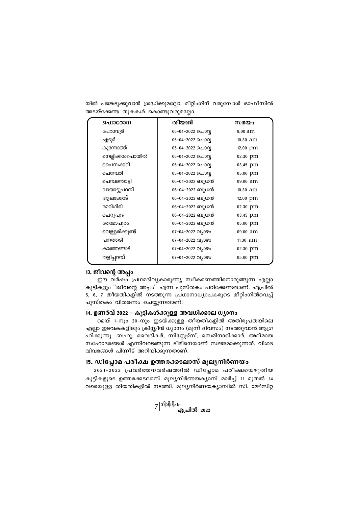|  | യിൽ പങ്കെടുക്കുവാൻ ശ്രദ്ധിക്കുമല്ലോ. മീറ്റിംഗിന് വരുമ്പോൾ ഓഫീസിൽ |  |  |
|--|------------------------------------------------------------------|--|--|
|  | അടയ്ക്കേണ്ട തുകകൾ കൊണ്ടുവരുമല്ലോ.                                |  |  |

| ഫൊറോന            | തീയതി                   | സമയം     |
|------------------|-------------------------|----------|
| പേരാവൂർ          | 05-04-2022 ചൊവ്വ        | 9.00 am  |
| എടൂർ             | 05-04-2022 ചൊവ്വ        | 10.30 am |
| കുന്നോത്ത്       | 05-04-2022 ചൊവ്വ        | 12.00 pm |
| നെല്ലിക്കാംപൊയിൽ | 05-04-2022 ചൊവ്വ        | 02.30 pm |
| പൈസക്കരി         | 05-04-2022 ചൊവ്വ        | 03.45 pm |
| ചെമ്പേരി         | 05-04-2022 ചൊവ്വ        | 05.00 pm |
| ചെമ്പന്തൊട്ടി    | 06-04-2022 ബുധൻ         | 09.00 am |
| വായാട്ടുപറമ്പ്   | 06-04-2022 ബുധൻ         | 10.30 am |
| ആലക്കോട്         | 06-04-2022 ബുധൻ         | 12.00 pm |
| മേരിഗിരി         | 06−04−2022 ബുധൻ         | 02.30 pm |
| ചെറുപുഴ          | 06−04−2022 ബുധൻ         | 03.45 pm |
| തോമാപുരം         | 06-04-2022 ബുധൻ         | 05.00 pm |
| വെള്ളരിക്കുണ്ട്  | 07-04-2022 011090       | 09.00 am |
| പനത്തടി          | 07-04-2022 011090       | 11.30 am |
| കാഞ്ഞങ്ങാട്      | 07-04-2022 വ്യാഴം       | 02.30 pm |
| തളിപ്പറമ്പ്      | $07 - 04 - 2022$ വ്യാഴം | 05.00 pm |
|                  |                         |          |

# *13.* ജീവന്റെ അപ്പം

ഈ വര്ഷം പ്രഥമദിവൃകാരുണ്യ സ്വീകരണത്തിനൊരുങ്ങുന്ന എല്ലാ കുട്ടികളും "ജീവന്റെ അപ്പം" എന്ന പുസ്തകം പഠിക്കേണ്ടതാണ്. ഏപ്രിൽ 5, 6, 7 തീയതികളിൽ നടത്തുന്ന പ്രധാനാധ്യാപകരുടെ മീറ്റിംഗിൽവെച്ച് പുസ്തകം വിതരണം ചെയ്യുന്നതാണ്.

## 14. **ഉണർവ് 2022 - കുട്ടികൾക്കുള്ള അവധിക്കാല ധ്യാനം**

മെയ് 1-നും 20−നും ഇടയ്ക്കുള്ള തീയതികളിൽ അതിരൂപതയിലെ എല്ലാ ഇടവകകളിലും ക്രിസ്റ്റീൻ ധ്യാനം (മൂന്ന് ദിവസം) നടത്തുവാൻ ആഗ്ര ഹിക്കുന്നു. ബഹു. വൈദികർ, സിസ്റ്റേഴ്സ്, സെമിനാരിക്കാർ, അല്മായ സഹോദരങ്ങൾ എന്നിവരടങ്ങുന്ന ടീമിനെയാണ് സജ്ജമാക്കുന്നത്. വിശദ വിവരങ്ങൾ പിന്നീട് അറിയിക്കുന്നതാണ്.

## 15. ഡിപ്ലോമ പരീക്ഷ ഉത്തരക്കടലാസ് മൂലൃനിർണയം

2021-2022 പ്രവർത്തനവർഷത്തിൽ ഡിപ്ലോമ പരീക്ഷയെഴുതിയ കുട്ടികളുടെ ഉത്തരക്കടലാസ് മൂലൃനിർണയകൃാമ്പ് മാർച്ച് 11 മുതൽ 14 വരെയുള്ള തിയതികളിൽ നടത്തി. മുല്യനിർണയക്യാമ്പിൽ സി. മേഴ്സിറ്റ

7 |<sup>ഗിരിദീപം</sup><br>ഏപ്രിൽ 2022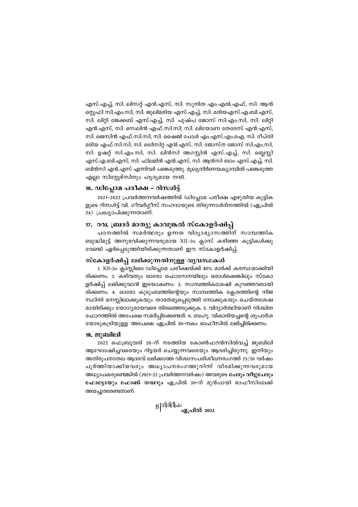എസ്.എച്ച്, സി. ലിസറ്റ് എൻ.എസ്, സി. സുനിത എം.എൽ.എഫ്, സി. ആൻ സ്റ്റെഫി സി.എം.സി, സി. ജൂലിമരിയ എസ്.എച്ച്, സി. മരിയഎസ്.എ.ബി.എസ്, സി. ലിറ്റി ജേക്കബ് എസ്.എച്ച്, സി. പുഷ്പ ജോസ് സി.എം.സി, സി. ലിറ്റി എൻ.എസ്, സി. സെലിൻ എഫ്.സി.സി, സി. ലിയോണ തേരേസ് എൻ.എസ്, സി. ജെസിൻ എഫ്.സി.സി, സി. ഷൈജി പോൾ എം.എസ്.എം.ഐ, സി. ദീപ്തി മരിയ എഫ്.സി.സി, സി. ടെർസിറ്റ എൻ.എസ്, സി. ജോസ്ന ജോസ് സി.എം.സി, സി. ഉഷറ്റ് സി.എം.സി, സി. ലിൻസി അഗസ്റ്റിൻ എസ്.എച്ച്, സി. ബ്ലെസ്സി എസ്.എ.ബി.എസ്, സി. ഫിലമിൻ എൻ.എസ്, സി. ആൻസി ടോം എസ്.എച്ച്, സി. ബിൻസി എൻ.എസ് എന്നിവർ പങ്കെടുത്തു. മുല്യനിർണയക്യാമ്പിൽ പങ്കെടുത്ത എല്ലാ സിസ്കേഴ്സിനും ഹൃദ്യമായ നന്ദി.

## 16. ഡിപ്ലോമ പരീക്ഷ – റിസൾട്ട്

2021-2022 പ്രവർത്തനവർഷത്തിൽ ഡിപ്ലോമ പരീക്ഷ എഴുതിയ കുട്ടിക ളുടെ റിസൾട്ട് വി. ഗീവർഗ്ഗീസ് സഹദായുടെ തിരുന്നാൾദിനത്തിൽ (ഏപ്രിൽ 24) പ്രഖ്യാപിക്കുന്നതാണ്.

## 17.ാവ. ബ്രദർ മാത്യു കാവുങ്കൽ സ്കോളർഷിപ്പ്

പഠനത്തിൽ സമർത്ഥരും ഉന്നത വിദ്യാഭ്യാസത്തിന് സാമ്പത്തിക ബുദ്ധിമുട്ട് അനുഭവിക്കുന്നവരുമായ XII-ാം ക്ലാസ് കഴിഞ്ഞ കുട്ടികൾക്കു വേണ്ടി ഏർപ്പെടുത്തിയിരിക്കുന്നതാണ് ഈ സ്കോളർഷിപ്പ്.

## സ്കോളർഷിപ്പ് ലഭിക്കുന്നതിനുള്ള വൃവസ്ഥകൾ

1. XII-ാം ക്ലാസ്സിലെ ഡിപ്ലോമ പരീക്ഷയ്ക്ക് 80% മാർക്ക് കരസ്ഥമാക്കിയി രിക്കണം. 2. കഴിവതും ഓരോ ഫൊറോനയിലും ഒരാൾക്കെങ്കിലും സ്കോ ളർഷിപ്പ് ലഭിക്കുവാൻ ഇടയാകണം. 3. സാമ്പത്തികശേഷി കുറഞ്ഞവരായി രിക്കണം. 4. ഓരോ കുടുംബത്തിന്റെയും സാമ്പത്തിക ക്ലേശത്തിന്റെ നിജ സ്ഥിതി മനസ്സിലാക്കുകയും താരതമ്യപ്പെടുത്തി നോക്കുകയും ചെയ്തശേഷ മായിരിക്കും യോഗൃരായവരെ തിരഞ്ഞെടുക്കുക. 5. വിദ്യാർത്ഥിയാണ് നിശ്ചിത ഫോറത്തിൽ അപേക്ഷ സമർപ്പിക്കേണ്ടത്. 6. ബഹു. വികാരിയച്ചന്റെ ശുപാർശ യോടുകൂടിയുള്ള അപേക്ഷ ഏപ്രിൽ 30–നകം ഓഫീസിൽ ലഭിച്ചിരിക്കണം.

### <u>18. ജൂബിലി</u>

2022 ഫെബ്രുവരി 26–ന് നടത്തിയ കോൺഫറൻസിൽവച്ച് ജുബിലി ആഘോഷിച്ചവരെയും റിട്ടയർ ചെയ്യുന്നവരെയും ആദരിച്ചിരുന്നു. ഇനിയും അതിരുപതാതല ആദരവ് ലഭിക്കാത്ത വിശ്വാസപരിശീലനരംഗത്ത് 25/50 വർഷം പൂർത്തിയാക്കിയവരും അധ്യാപനരംഗത്തുനിന്ന് വിരമിക്കുന്നവരുമായ അധ്യാപകരുണ്ടെങ്കിൽ (2021-22 പ്രവർത്തനവർഷം) അവരുടെ പേരും വീട്ടുപേരും ഫോട്ടോയും ഫോൺ നമ്പറും ഏപ്രിൽ 30-ന് മുൻപായി ഓഫീസിലേക്ക് അയച്ചുതരേണ്ടതാണ്.

 $8|$ ഗിരിദീപം $_{\alpha\beta}$ പ്രിൽ 2022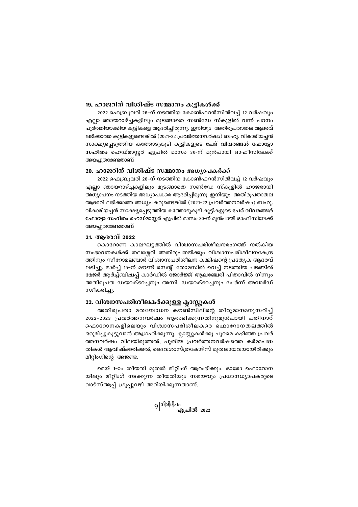## *19. ഹാജറിന് വിശിഷ്ട സമ്മാനം കൂട്ടികൾക്ക്*

 $2022$  ഫെബ്രുവരി 26-ന് നടത്തിയ കോൺഫറൻസിൽവച്ച് 12 വർഷവും എല്ലാ ഞായറാഴ്ച്ചകളിലും മുടങ്ങാതെ സൺഡേ സ്കൂളിൽ വന്ന് പഠനം പൂർത്തിയാക്കിയ കുട്ടികളെ ആദരിച്ചിരുന്നു. ഇനിയും അതിരൂപതാതല ആദരവ് ലഭിക്കാത്ത കുട്ടികളുണ്ടെങ്കിൽ (2021-22 പ്രവർത്തനവർഷം) ബഹു. വികാരിയച്ചൻ സാക്ഷ്യപ്പെടുത്തിയ കത്തോടുകൂടി കുട്ടികളുടെ പേര് വിവരങ്ങൾ ഫോട്ടോ സഹിതം ഹെഡ്മാസ്റ്റർ ഏപ്രിൽ മാസം **30-ന് മുൻപായി ഓഫീസിലേക്ക്** അയചൂതരേണ്ടതാണ്.

## 20. ഹാജറിന് വിശിഷ്ട സമ്മാനം അധ്യാപക**ർക്ക്**

2022 ഫെബ്രുവരി 26-ന് നടത്തിയ കോൺഫറൻസിൽവച്ച് 12 വർഷവും എല്ലാ ഞായറാഴ്ച്ചകളിലും മുടങ്ങാതെ സൺഡേ സ്കൂളിൽ ഹാജരായി അധ്യാപനം നടത്തിയ അധ്യാപകരെ ആദരിച്ചിരുന്നു. ഇനിയും അതിരുപതാതല ആദരവ് ലഭിക്കാത്ത അധ്യപകരുണ്ടെങ്കിൽ (2021-22 പ്രവർത്തനവർഷം) ബഹു. hanalയച്ചൻ സാക്ഷ്യപ്പെടുത്തിയ കത്തോടുകൂടി കുട്ടികളുടെ **പേര് വിവരങ്ങൾ ഫോട്ടോ സഹിതം** ഹെഡ്മാസ്റ്റർ ഏപ്രിൽ മാസം 30-ന് മുൻപായി ഓഫീസിലേക്ക് അയചുതരേണ്ടതാണ്.

## 21. ആദരവ് 2022

കൊറോണ കാലഘട്ടത്തിൽ വിശ്വാസപരിശീലനരംഗത്ത് നൽകിയ സംഭാവനകൾക്ക് തലശ്ശേരി അതിരൂപതയ്ക്കും വിശ്വാസപരിശീലനകേന്ദ്ര ത്തിനും സീറോമലബാർ വിശ്വാസപരിശീലന കമ്മിഷന്റെ പ്രത്യേക ആദരവ് ലഭിച്ചു. മാർച്ച് 15-ന് മൗണ്ട് സെന്റ് തോമസിൽ വെച്ച് നടത്തിയ ചടങ്ങിൽ ്മേജർ ആർച്ച്ബിഷപ്പ് കാർഡിൽ ജോർജ്ജ് ആലഞ്ചേരി പിതാവിൽ നിന്നും അതിരൂപത ഡയറക്ടറച്ചനും അസി. ഡയറക്ടറച്ചനും ചേർന്ന് അവാർഡ് സ്വീകരിച്ചു.

#### 22. വിശ്വാസപരിശീലകർക്കുള്ള ക്ലാസ്റ്റകൾ

അതിരുപതാ മതബോധന കൗൺസിലിന്റെ തീരുമാനമനുസരിച്ച് 2022-2023 (പവർത്തനവർഷം ആരംഭിക്കുന്നതിനുമുൻപായി പതിനാറ് ഹൊറോനകളിലെയും വിശ്വാസപരിശീലകരെ ഫൊറോനതലത്തിൽ ഒരുമിച്ചുകൂട്ടുവാൻ ആഗ്രഹിക്കുന്നു. ക്ലാസ്സുകൾക്കു പുറമെ കഴിഞ്ഞ പ്രവർ ത്തനവർഷം വിലയിരുത്തൽ, പുതിയ പ്രവർത്തനവർഷത്തെ കർമ്മപദ്ധ തികൾ ആവിഷ്ക്കരിക്കൽ, ദൈവശാസ്ത്രകോഴ്സ് മുതലായവയായിരിക്കും മീറ്റിംഗിന്റെ അജണ്ട.

മെയ് 1-ാം തീയതി മുതൽ മീറ്റിംഗ് ആരംഭിക്കും. ഓരോ ഫൊറോന യിലും മീറ്റിംഗ് നടക്കുന്ന തീയതിയും സമയവും പ്രധാനധ്യാപകരുടെ വാട്സ്ആപ്പ് ഗ്രൂപ്പുവഴി അറിയിക്കുന്നതാണ്.

9 |<sup>ഗിരിദീപം</sup><br>ഏപ്രിൽ 2022